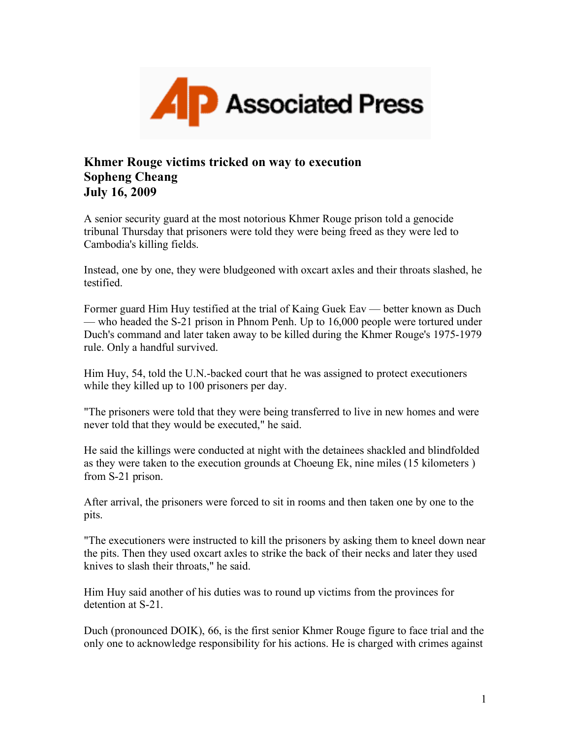

## **Khmer Rouge victims tricked on way to execution Sopheng Cheang July 16, 2009**

A senior security guard at the most notorious Khmer Rouge prison told a genocide tribunal Thursday that prisoners were told they were being freed as they were led to Cambodia's killing fields.

Instead, one by one, they were bludgeoned with oxcart axles and their throats slashed, he testified.

Former guard Him Huy testified at the trial of Kaing Guek Eav — better known as Duch — who headed the S-21 prison in Phnom Penh. Up to 16,000 people were tortured under Duch's command and later taken away to be killed during the Khmer Rouge's 1975-1979 rule. Only a handful survived.

Him Huy, 54, told the U.N.-backed court that he was assigned to protect executioners while they killed up to 100 prisoners per day.

"The prisoners were told that they were being transferred to live in new homes and were never told that they would be executed," he said.

He said the killings were conducted at night with the detainees shackled and blindfolded as they were taken to the execution grounds at Choeung Ek, nine miles (15 kilometers ) from S-21 prison.

After arrival, the prisoners were forced to sit in rooms and then taken one by one to the pits.

"The executioners were instructed to kill the prisoners by asking them to kneel down near the pits. Then they used oxcart axles to strike the back of their necks and later they used knives to slash their throats," he said.

Him Huy said another of his duties was to round up victims from the provinces for detention at S-21.

Duch (pronounced DOIK), 66, is the first senior Khmer Rouge figure to face trial and the only one to acknowledge responsibility for his actions. He is charged with crimes against